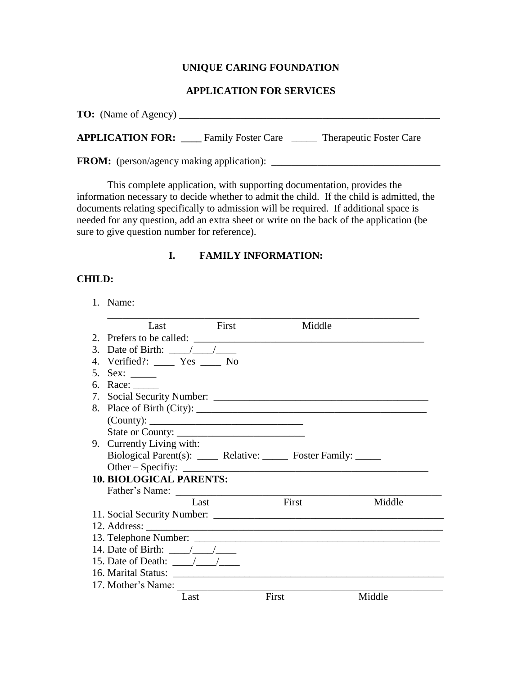# **UNIQUE CARING FOUNDATION**

#### **APPLICATION FOR SERVICES**

| <b>TO:</b> (Name of Agency)                      |                           |                                |
|--------------------------------------------------|---------------------------|--------------------------------|
| <b>APPLICATION FOR:</b>                          | <b>Family Foster Care</b> | <b>Therapeutic Foster Care</b> |
| <b>FROM:</b> (person/agency making application): |                           |                                |

This complete application, with supporting documentation, provides the information necessary to decide whether to admit the child. If the child is admitted, the documents relating specifically to admission will be required. If additional space is

# needed for any question, add an extra sheet or write on the back of the application (be sure to give question number for reference).

#### **I. FAMILY INFORMATION:**

#### **CHILD:**

1. Name:

| Last First                                                        | Middle |        |
|-------------------------------------------------------------------|--------|--------|
| 2. Prefers to be called:                                          |        |        |
| 3. Date of Birth: $\frac{\sqrt{1-\lambda}}{\sqrt{1-\lambda}}$     |        |        |
| 4. Verified?: ____ Yes ____ No                                    |        |        |
|                                                                   |        |        |
| 6. Race: ______                                                   |        |        |
|                                                                   |        |        |
|                                                                   |        |        |
|                                                                   |        |        |
| State or County:                                                  |        |        |
| 9. Currently Living with:                                         |        |        |
| Biological Parent(s): _____ Relative: ______ Foster Family: _____ |        |        |
| Other – Specifiy: $\_\_\_\_\_\_\_$                                |        |        |
| <b>10. BIOLOGICAL PARENTS:</b>                                    |        |        |
| Father's Name:                                                    |        |        |
| Last                                                              | First  | Middle |
|                                                                   |        |        |
|                                                                   |        |        |
|                                                                   |        |        |
| 14. Date of Birth: $\frac{\sqrt{2}}{2}$                           |        |        |
| 15. Date of Death: $\frac{1}{\sqrt{1-\frac{1}{2}}}$               |        |        |
|                                                                   |        |        |
| 17. Mother's Name:                                                |        |        |
| Last                                                              | First  | Middle |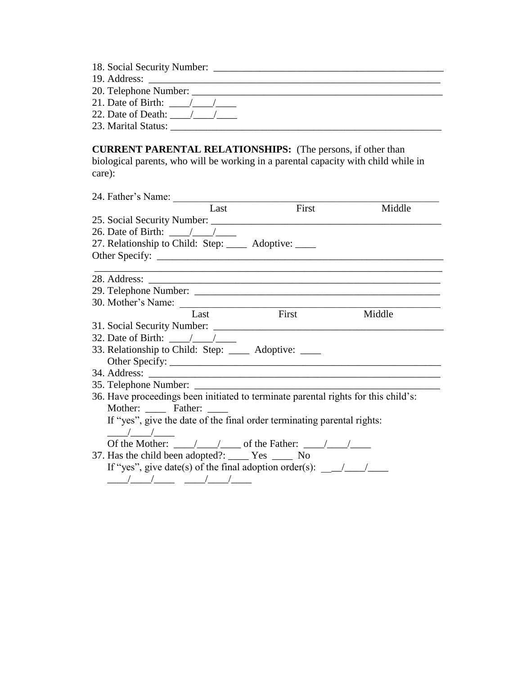| 18. Social Security Number: |  |
|-----------------------------|--|
|                             |  |

19. Address: \_\_\_\_\_\_\_\_\_\_\_\_\_\_\_\_\_\_\_\_\_\_\_\_\_\_\_\_\_\_\_\_\_\_\_\_\_\_\_\_\_\_\_\_\_\_\_\_\_\_\_\_\_\_\_\_\_

20. Telephone Number: \_\_\_\_\_\_\_\_\_\_\_\_\_\_\_\_\_\_\_\_\_\_\_\_\_\_\_\_\_\_\_\_\_\_\_\_\_\_\_\_\_\_\_\_\_\_\_\_\_

21. Date of Birth:  $\frac{\sqrt{2}}{2}$ 

22. Date of Death:  $\frac{\sqrt{2\pi}}{2\pi}$ 

23. Marital Status: \_\_\_\_\_\_\_\_\_\_\_\_\_\_\_\_\_\_\_\_\_\_\_\_\_\_\_\_\_\_\_\_\_\_\_\_\_\_\_\_\_\_\_\_\_\_\_\_\_\_\_\_\_

**CURRENT PARENTAL RELATIONSHIPS:** (The persons, if other than biological parents, who will be working in a parental capacity with child while in care):

| Last                                                                                                                                                                                                                                                                                                                                                                    | $\overline{First}$                                                 | Middle |
|-------------------------------------------------------------------------------------------------------------------------------------------------------------------------------------------------------------------------------------------------------------------------------------------------------------------------------------------------------------------------|--------------------------------------------------------------------|--------|
|                                                                                                                                                                                                                                                                                                                                                                         |                                                                    |        |
| 26. Date of Birth: $\frac{1}{2}$ /                                                                                                                                                                                                                                                                                                                                      |                                                                    |        |
| 27. Relationship to Child: Step: ______ Adoptive: _____                                                                                                                                                                                                                                                                                                                 |                                                                    |        |
|                                                                                                                                                                                                                                                                                                                                                                         |                                                                    |        |
|                                                                                                                                                                                                                                                                                                                                                                         | <u> 1989 - Jan Samuel Barbara, margaret eta idazlea (h. 1989).</u> |        |
|                                                                                                                                                                                                                                                                                                                                                                         |                                                                    |        |
|                                                                                                                                                                                                                                                                                                                                                                         |                                                                    |        |
| 30. Mother's Name: $\frac{1}{2}$                                                                                                                                                                                                                                                                                                                                        |                                                                    |        |
| Last                                                                                                                                                                                                                                                                                                                                                                    | <b>First</b>                                                       | Middle |
|                                                                                                                                                                                                                                                                                                                                                                         |                                                                    |        |
|                                                                                                                                                                                                                                                                                                                                                                         |                                                                    |        |
| 33. Relationship to Child: Step: ______ Adoptive: _____                                                                                                                                                                                                                                                                                                                 |                                                                    |        |
|                                                                                                                                                                                                                                                                                                                                                                         |                                                                    |        |
|                                                                                                                                                                                                                                                                                                                                                                         |                                                                    |        |
|                                                                                                                                                                                                                                                                                                                                                                         |                                                                    |        |
|                                                                                                                                                                                                                                                                                                                                                                         |                                                                    |        |
| Mother: Father:                                                                                                                                                                                                                                                                                                                                                         |                                                                    |        |
| If "yes", give the date of the final order terminating parental rights:                                                                                                                                                                                                                                                                                                 |                                                                    |        |
| $\sqrt{2}$                                                                                                                                                                                                                                                                                                                                                              |                                                                    |        |
| Of the Mother: $\frac{1}{\sqrt{1-\frac{1}{2}}}$ of the Father: $\frac{1}{\sqrt{1-\frac{1}{2}}}$                                                                                                                                                                                                                                                                         |                                                                    |        |
| 37. Has the child been adopted?: ________ Yes _______ No                                                                                                                                                                                                                                                                                                                |                                                                    |        |
| If "yes", give date(s) of the final adoption order(s): $\frac{1}{\sqrt{1-\frac{1}{1-\frac{1}{1-\frac{1}{1-\frac{1}{1-\frac{1}{1-\frac{1}{1-\frac{1}{1-\frac{1}{1-\frac{1}{1-\frac{1}{1-\frac{1}{1-\frac{1}{1-\frac{1}{1-\frac{1}{1-\frac{1}{1-\frac{1}{1-\frac{1}{1-\frac{1}{1-\frac{1}{1-\frac{1}{1-\frac{1}{1-\frac{1}{1-\frac{1}{1-\frac{1}{1-\frac{1}{1-\frac{1}{1$ |                                                                    |        |
|                                                                                                                                                                                                                                                                                                                                                                         |                                                                    |        |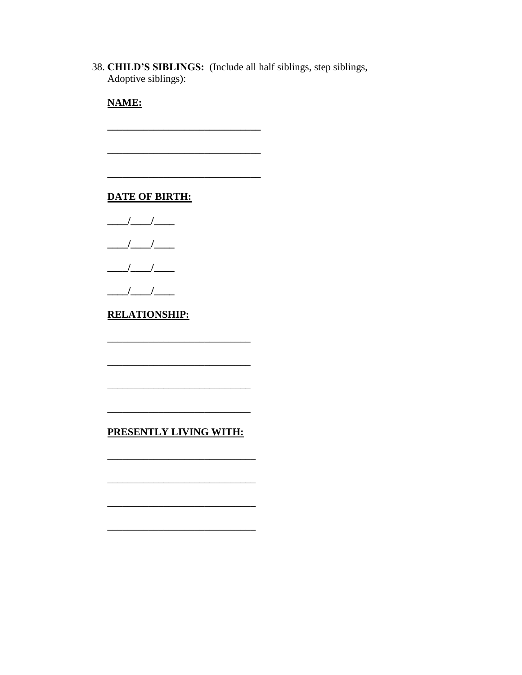38. CHILD'S SIBLINGS: (Include all half siblings, step siblings, Adoptive siblings):

**NAME:** 

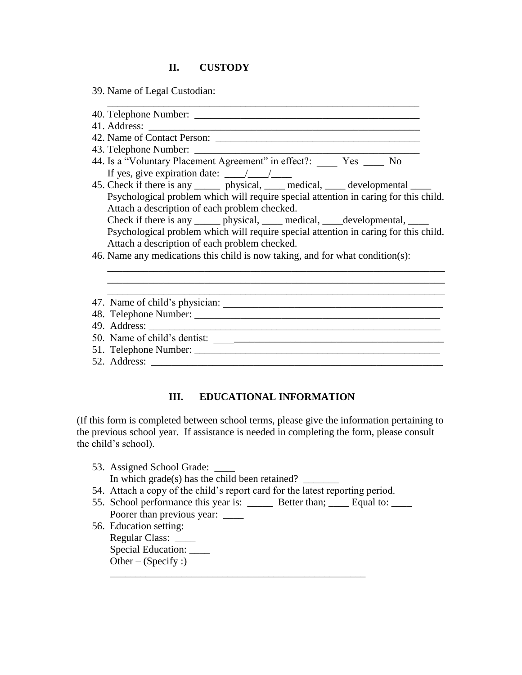## **II. CUSTODY**

- 39. Name of Legal Custodian:
- 40. Telephone Number: \_\_\_\_\_\_\_\_\_\_\_\_\_\_\_\_\_\_\_\_\_\_\_\_\_\_\_\_\_\_\_\_\_\_\_\_\_\_\_\_\_\_\_\_ 41. Address: \_\_\_\_\_\_\_\_\_\_\_\_\_\_\_\_\_\_\_\_\_\_\_\_\_\_\_\_\_\_\_\_\_\_\_\_\_\_\_\_\_\_\_\_\_\_\_\_\_\_\_\_\_ 42. Name of Contact Person: \_\_\_\_\_\_\_\_\_\_\_\_\_\_\_\_\_\_\_\_\_\_\_\_\_\_\_\_\_\_\_\_\_\_\_\_\_\_\_\_ 43. Telephone Number: 44. Is a "Voluntary Placement Agreement" in effect?: Yes \_\_\_\_ No If yes, give expiration date:  $\frac{\sqrt{2}}{2}$ 45. Check if there is any \_\_\_\_\_\_ physical, \_\_\_\_ medical, \_\_\_\_ developmental \_\_\_\_ Psychological problem which will require special attention in caring for this child. Attach a description of each problem checked. Check if there is any \_\_\_\_\_\_ physical, \_\_\_\_\_ medical, \_\_\_\_developmental, \_\_\_\_\_ Psychological problem which will require special attention in caring for this child. Attach a description of each problem checked. 46. Name any medications this child is now taking, and for what condition(s): \_\_\_\_\_\_\_\_\_\_\_\_\_\_\_\_\_\_\_\_\_\_\_\_\_\_\_\_\_\_\_\_\_\_\_\_\_\_\_\_\_\_\_\_\_\_\_\_\_\_\_\_\_\_\_\_\_\_\_\_\_\_\_\_\_\_ \_\_\_\_\_\_\_\_\_\_\_\_\_\_\_\_\_\_\_\_\_\_\_\_\_\_\_\_\_\_\_\_\_\_\_\_\_\_\_\_\_\_\_\_\_\_\_\_\_\_\_\_\_\_\_\_\_\_\_\_\_\_\_\_\_\_ 47. Name of child's physician: 48. Telephone Number: 49. Address: \_\_\_\_\_\_\_\_\_\_\_\_\_\_\_\_\_\_\_\_\_\_\_\_\_\_\_\_\_\_\_\_\_\_\_\_\_\_\_\_\_\_\_\_\_\_\_\_\_\_\_\_\_\_\_\_\_ 50. Name of child's dentist: \_\_\_\_\_\_\_\_\_\_\_\_\_\_\_\_\_\_\_\_\_\_\_\_\_\_\_\_\_\_\_\_\_\_\_\_\_\_\_\_\_\_\_\_\_
- 
- 51. Telephone Number: \_\_\_\_\_\_\_\_\_\_\_\_\_\_\_\_\_\_\_\_\_\_\_\_\_\_\_\_\_\_\_\_\_\_\_\_\_\_\_\_\_\_\_\_\_\_\_\_
- 52. Address: \_\_\_\_\_\_\_\_\_\_\_\_\_\_\_\_\_\_\_\_\_\_\_\_\_\_\_\_\_\_\_\_\_\_\_\_\_\_\_\_\_\_\_\_\_\_\_\_\_\_\_\_\_\_\_\_\_

# **III. EDUCATIONAL INFORMATION**

(If this form is completed between school terms, please give the information pertaining to the previous school year. If assistance is needed in completing the form, please consult the child's school).

- 53. Assigned School Grade: In which grade(s) has the child been retained? 54. Attach a copy of the child's report card for the latest reporting period.
- 55. School performance this year is: \_\_\_\_\_\_\_ Better than; Lequal to: Poorer than previous year: \_\_\_\_\_

\_\_\_\_\_\_\_\_\_\_\_\_\_\_\_\_\_\_\_\_\_\_\_\_\_\_\_\_\_\_\_\_\_\_\_\_\_\_\_\_\_\_\_\_\_\_\_\_\_\_

56. Education setting: Regular Class: \_\_\_\_ Special Education: \_\_\_\_\_ Other –  $(Specify:$ )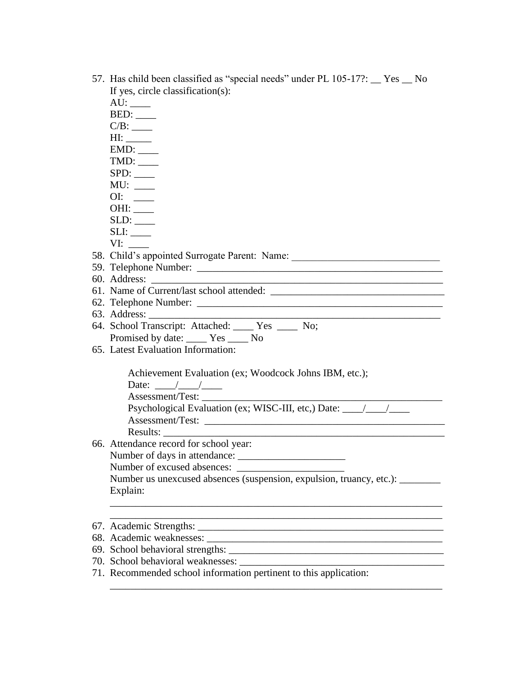| 57. Has child been classified as "special needs" under PL 105-17?: Tes _ No<br>If yes, circle classification(s): |
|------------------------------------------------------------------------------------------------------------------|
|                                                                                                                  |
|                                                                                                                  |
|                                                                                                                  |
| H1:                                                                                                              |
| EMD:                                                                                                             |
|                                                                                                                  |
|                                                                                                                  |
| MU:                                                                                                              |
| OI:                                                                                                              |
|                                                                                                                  |
| SLD:                                                                                                             |
| SLI:                                                                                                             |
| VI:                                                                                                              |
| 58. Child's appointed Surrogate Parent: Name: __________________________________                                 |
|                                                                                                                  |
|                                                                                                                  |
|                                                                                                                  |
|                                                                                                                  |
| <u> 1989 - Johann Barbara, margaret eta idazlearia (h. 1989).</u>                                                |
| 64. School Transcript: Attached: ____ Yes ____ No;                                                               |
| Promised by date: _____ Yes _____ No                                                                             |
| 65. Latest Evaluation Information:                                                                               |
| Achievement Evaluation (ex; Woodcock Johns IBM, etc.);                                                           |
| Date: $\frac{\sqrt{1-\frac{1}{2}}}{\sqrt{1-\frac{1}{2}}}}$                                                       |
| Assessment/Test:                                                                                                 |
| Psychological Evaluation (ex; WISC-III, etc,) Date: _____________________________                                |
|                                                                                                                  |
|                                                                                                                  |
| 66. Attendance record for school year:                                                                           |
|                                                                                                                  |
|                                                                                                                  |
| Number us unexcused absences (suspension, expulsion, truancy, etc.): ________                                    |
| Explain:                                                                                                         |
|                                                                                                                  |
|                                                                                                                  |
|                                                                                                                  |
|                                                                                                                  |
|                                                                                                                  |
|                                                                                                                  |
| 71. Recommended school information pertinent to this application:                                                |

\_\_\_\_\_\_\_\_\_\_\_\_\_\_\_\_\_\_\_\_\_\_\_\_\_\_\_\_\_\_\_\_\_\_\_\_\_\_\_\_\_\_\_\_\_\_\_\_\_\_\_\_\_\_\_\_\_\_\_\_\_\_\_\_\_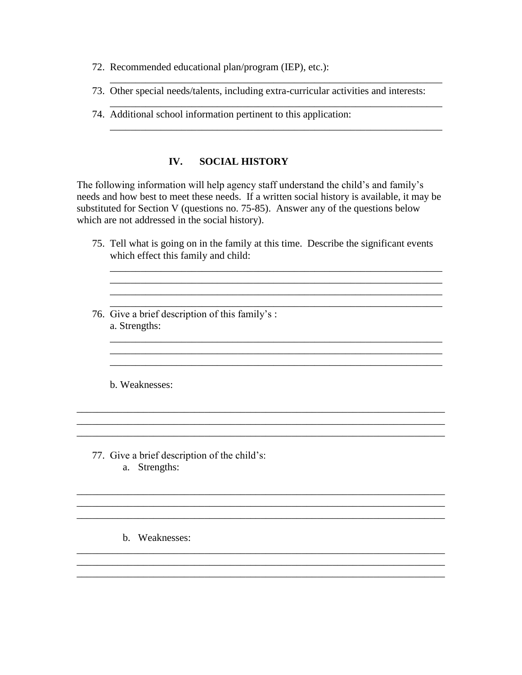- 72. Recommended educational plan/program (IEP), etc.):
- 73. Other special needs/talents, including extra-curricular activities and interests:

\_\_\_\_\_\_\_\_\_\_\_\_\_\_\_\_\_\_\_\_\_\_\_\_\_\_\_\_\_\_\_\_\_\_\_\_\_\_\_\_\_\_\_\_\_\_\_\_\_\_\_\_\_\_\_\_\_\_\_\_\_\_\_\_\_

\_\_\_\_\_\_\_\_\_\_\_\_\_\_\_\_\_\_\_\_\_\_\_\_\_\_\_\_\_\_\_\_\_\_\_\_\_\_\_\_\_\_\_\_\_\_\_\_\_\_\_\_\_\_\_\_\_\_\_\_\_\_\_\_\_

\_\_\_\_\_\_\_\_\_\_\_\_\_\_\_\_\_\_\_\_\_\_\_\_\_\_\_\_\_\_\_\_\_\_\_\_\_\_\_\_\_\_\_\_\_\_\_\_\_\_\_\_\_\_\_\_\_\_\_\_\_\_\_\_\_

74. Additional school information pertinent to this application:

#### **IV. SOCIAL HISTORY**

The following information will help agency staff understand the child's and family's needs and how best to meet these needs. If a written social history is available, it may be substituted for Section V (questions no. 75-85). Answer any of the questions below which are not addressed in the social history).

75. Tell what is going on in the family at this time. Describe the significant events which effect this family and child:

\_\_\_\_\_\_\_\_\_\_\_\_\_\_\_\_\_\_\_\_\_\_\_\_\_\_\_\_\_\_\_\_\_\_\_\_\_\_\_\_\_\_\_\_\_\_\_\_\_\_\_\_\_\_\_\_\_\_\_\_\_\_\_\_\_

\_\_\_\_\_\_\_\_\_\_\_\_\_\_\_\_\_\_\_\_\_\_\_\_\_\_\_\_\_\_\_\_\_\_\_\_\_\_\_\_\_\_\_\_\_\_\_\_\_\_\_\_\_\_\_\_\_\_\_\_\_\_\_\_\_

\_\_\_\_\_\_\_\_\_\_\_\_\_\_\_\_\_\_\_\_\_\_\_\_\_\_\_\_\_\_\_\_\_\_\_\_\_\_\_\_\_\_\_\_\_\_\_\_\_\_\_\_\_\_\_\_\_\_\_\_\_\_\_\_\_  $\Box$ \_\_\_\_\_\_\_\_\_\_\_\_\_\_\_\_\_\_\_\_\_\_\_\_\_\_\_\_\_\_\_\_\_\_\_\_\_\_\_\_\_\_\_\_\_\_\_\_\_\_\_\_\_\_\_\_\_\_\_\_\_\_\_\_\_

\_\_\_\_\_\_\_\_\_\_\_\_\_\_\_\_\_\_\_\_\_\_\_\_\_\_\_\_\_\_\_\_\_\_\_\_\_\_\_\_\_\_\_\_\_\_\_\_\_\_\_\_\_\_\_\_\_\_\_\_\_\_\_\_\_\_\_\_\_\_\_\_

\_\_\_\_\_\_\_\_\_\_\_\_\_\_\_\_\_\_\_\_\_\_\_\_\_\_\_\_\_\_\_\_\_\_\_\_\_\_\_\_\_\_\_\_\_\_\_\_\_\_\_\_\_\_\_\_\_\_\_\_\_\_\_\_\_\_\_\_\_\_\_\_

\_\_\_\_\_\_\_\_\_\_\_\_\_\_\_\_\_\_\_\_\_\_\_\_\_\_\_\_\_\_\_\_\_\_\_\_\_\_\_\_\_\_\_\_\_\_\_\_\_\_\_\_\_\_\_\_\_\_\_\_\_\_\_\_\_\_\_\_\_\_\_\_ \_\_\_\_\_\_\_\_\_\_\_\_\_\_\_\_\_\_\_\_\_\_\_\_\_\_\_\_\_\_\_\_\_\_\_\_\_\_\_\_\_\_\_\_\_\_\_\_\_\_\_\_\_\_\_\_\_\_\_\_\_\_\_\_\_\_\_\_\_\_\_\_ \_\_\_\_\_\_\_\_\_\_\_\_\_\_\_\_\_\_\_\_\_\_\_\_\_\_\_\_\_\_\_\_\_\_\_\_\_\_\_\_\_\_\_\_\_\_\_\_\_\_\_\_\_\_\_\_\_\_\_\_\_\_\_\_\_\_\_\_\_\_\_\_

\_\_\_\_\_\_\_\_\_\_\_\_\_\_\_\_\_\_\_\_\_\_\_\_\_\_\_\_\_\_\_\_\_\_\_\_\_\_\_\_\_\_\_\_\_\_\_\_\_\_\_\_\_\_\_\_\_\_\_\_\_\_\_\_\_\_\_\_\_\_\_\_

\_\_\_\_\_\_\_\_\_\_\_\_\_\_\_\_\_\_\_\_\_\_\_\_\_\_\_\_\_\_\_\_\_\_\_\_\_\_\_\_\_\_\_\_\_\_\_\_\_\_\_\_\_\_\_\_\_\_\_\_\_\_\_\_\_\_\_\_\_\_\_\_

\_\_\_\_\_\_\_\_\_\_\_\_\_\_\_\_\_\_\_\_\_\_\_\_\_\_\_\_\_\_\_\_\_\_\_\_\_\_\_\_\_\_\_\_\_\_\_\_\_\_\_\_\_\_\_\_\_\_\_\_\_\_\_\_\_ \_\_\_\_\_\_\_\_\_\_\_\_\_\_\_\_\_\_\_\_\_\_\_\_\_\_\_\_\_\_\_\_\_\_\_\_\_\_\_\_\_\_\_\_\_\_\_\_\_\_\_\_\_\_\_\_\_\_\_\_\_\_\_\_\_

76. Give a brief description of this family's : a. Strengths:

b. Weaknesses:

- 77. Give a brief description of the child's: a. Strengths:
	- b. Weaknesses: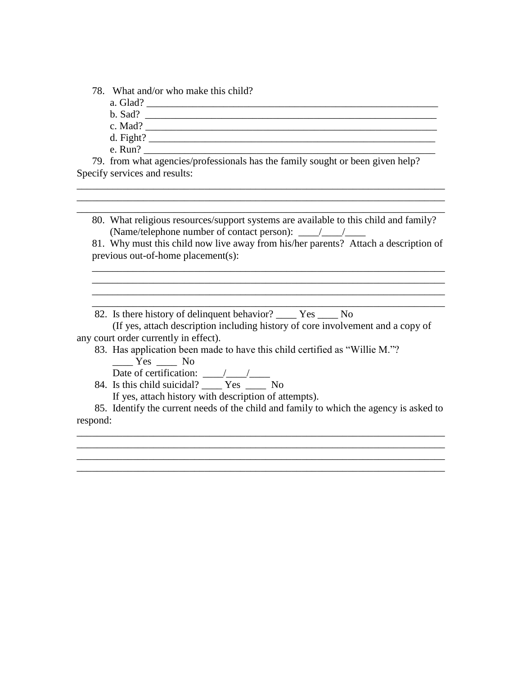78. What and/or who make this child?

- a. Glad? \_\_\_\_\_\_\_\_\_\_\_\_\_\_\_\_\_\_\_\_\_\_\_\_\_\_\_\_\_\_\_\_\_\_\_\_\_\_\_\_\_\_\_\_\_\_\_\_\_\_\_\_\_\_\_\_\_
- b. Sad? \_\_\_\_\_\_\_\_\_\_\_\_\_\_\_\_\_\_\_\_\_\_\_\_\_\_\_\_\_\_\_\_\_\_\_\_\_\_\_\_\_\_\_\_\_\_\_\_\_\_\_\_\_\_\_\_\_
- c. Mad? \_\_\_\_\_\_\_\_\_\_\_\_\_\_\_\_\_\_\_\_\_\_\_\_\_\_\_\_\_\_\_\_\_\_\_\_\_\_\_\_\_\_\_\_\_\_\_\_\_\_\_\_\_\_\_\_\_
- d. Fight? \_\_\_\_\_\_\_\_\_\_\_\_\_\_\_\_\_\_\_\_\_\_\_\_\_\_\_\_\_\_\_\_\_\_\_\_\_\_\_\_\_\_\_\_\_\_\_\_\_\_\_\_\_\_\_\_
- e. Run?

 79. from what agencies/professionals has the family sought or been given help? Specify services and results:

80. What religious resources/support systems are available to this child and family? (Name/telephone number of contact person):  $\frac{\sqrt{2}}{2}$ 

\_\_\_\_\_\_\_\_\_\_\_\_\_\_\_\_\_\_\_\_\_\_\_\_\_\_\_\_\_\_\_\_\_\_\_\_\_\_\_\_\_\_\_\_\_\_\_\_\_\_\_\_\_\_\_\_\_\_\_\_\_\_\_\_\_\_\_\_\_\_\_\_ \_\_\_\_\_\_\_\_\_\_\_\_\_\_\_\_\_\_\_\_\_\_\_\_\_\_\_\_\_\_\_\_\_\_\_\_\_\_\_\_\_\_\_\_\_\_\_\_\_\_\_\_\_\_\_\_\_\_\_\_\_\_\_\_\_\_\_\_\_\_\_\_ \_\_\_\_\_\_\_\_\_\_\_\_\_\_\_\_\_\_\_\_\_\_\_\_\_\_\_\_\_\_\_\_\_\_\_\_\_\_\_\_\_\_\_\_\_\_\_\_\_\_\_\_\_\_\_\_\_\_\_\_\_\_\_\_\_\_\_\_\_\_\_\_

81. Why must this child now live away from his/her parents? Attach a description of previous out-of-home placement(s):

\_\_\_\_\_\_\_\_\_\_\_\_\_\_\_\_\_\_\_\_\_\_\_\_\_\_\_\_\_\_\_\_\_\_\_\_\_\_\_\_\_\_\_\_\_\_\_\_\_\_\_\_\_\_\_\_\_\_\_\_\_\_\_\_\_\_\_\_\_ \_\_\_\_\_\_\_\_\_\_\_\_\_\_\_\_\_\_\_\_\_\_\_\_\_\_\_\_\_\_\_\_\_\_\_\_\_\_\_\_\_\_\_\_\_\_\_\_\_\_\_\_\_\_\_\_\_\_\_\_\_\_\_\_\_\_\_\_\_

\_\_\_\_\_\_\_\_\_\_\_\_\_\_\_\_\_\_\_\_\_\_\_\_\_\_\_\_\_\_\_\_\_\_\_\_\_\_\_\_\_\_\_\_\_\_\_\_\_\_\_\_\_\_\_\_\_\_\_\_\_\_\_\_\_\_\_\_\_

82. Is there history of delinquent behavior? \_\_\_\_ Yes \_\_\_\_ No

 (If yes, attach description including history of core involvement and a copy of any court order currently in effect).

83. Has application been made to have this child certified as "Willie M."?  $Yes$  No

Date of certification: \_\_\_\_/\_\_\_\_/\_\_\_\_

84. Is this child suicidal? Yes No

If yes, attach history with description of attempts).

 85. Identify the current needs of the child and family to which the agency is asked to respond:

\_\_\_\_\_\_\_\_\_\_\_\_\_\_\_\_\_\_\_\_\_\_\_\_\_\_\_\_\_\_\_\_\_\_\_\_\_\_\_\_\_\_\_\_\_\_\_\_\_\_\_\_\_\_\_\_\_\_\_\_\_\_\_\_\_\_\_\_\_\_\_\_

\_\_\_\_\_\_\_\_\_\_\_\_\_\_\_\_\_\_\_\_\_\_\_\_\_\_\_\_\_\_\_\_\_\_\_\_\_\_\_\_\_\_\_\_\_\_\_\_\_\_\_\_\_\_\_\_\_\_\_\_\_\_\_\_\_\_\_\_\_\_\_\_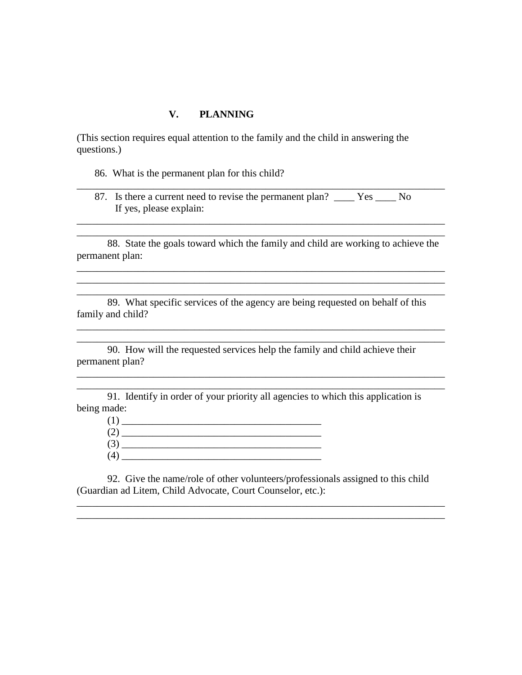#### **V. PLANNING**

(This section requires equal attention to the family and the child in answering the questions.)

- 86. What is the permanent plan for this child?
- 87. Is there a current need to revise the permanent plan? \_\_\_\_ Yes \_\_\_\_ No If yes, please explain:

\_\_\_\_\_\_\_\_\_\_\_\_\_\_\_\_\_\_\_\_\_\_\_\_\_\_\_\_\_\_\_\_\_\_\_\_\_\_\_\_\_\_\_\_\_\_\_\_\_\_\_\_\_\_\_\_\_\_\_\_\_\_\_\_\_\_\_\_\_\_\_\_

\_\_\_\_\_\_\_\_\_\_\_\_\_\_\_\_\_\_\_\_\_\_\_\_\_\_\_\_\_\_\_\_\_\_\_\_\_\_\_\_\_\_\_\_\_\_\_\_\_\_\_\_\_\_\_\_\_\_\_\_\_\_\_\_\_\_\_\_\_\_\_\_ \_\_\_\_\_\_\_\_\_\_\_\_\_\_\_\_\_\_\_\_\_\_\_\_\_\_\_\_\_\_\_\_\_\_\_\_\_\_\_\_\_\_\_\_\_\_\_\_\_\_\_\_\_\_\_\_\_\_\_\_\_\_\_\_\_\_\_\_\_\_\_\_

88. State the goals toward which the family and child are working to achieve the permanent plan:

\_\_\_\_\_\_\_\_\_\_\_\_\_\_\_\_\_\_\_\_\_\_\_\_\_\_\_\_\_\_\_\_\_\_\_\_\_\_\_\_\_\_\_\_\_\_\_\_\_\_\_\_\_\_\_\_\_\_\_\_\_\_\_\_\_\_\_\_\_\_\_\_

\_\_\_\_\_\_\_\_\_\_\_\_\_\_\_\_\_\_\_\_\_\_\_\_\_\_\_\_\_\_\_\_\_\_\_\_\_\_\_\_\_\_\_\_\_\_\_\_\_\_\_\_\_\_\_\_\_\_\_\_\_\_\_\_\_\_\_\_\_\_\_\_

\_\_\_\_\_\_\_\_\_\_\_\_\_\_\_\_\_\_\_\_\_\_\_\_\_\_\_\_\_\_\_\_\_\_\_\_\_\_\_\_\_\_\_\_\_\_\_\_\_\_\_\_\_\_\_\_\_\_\_\_\_\_\_\_\_\_\_\_\_\_\_\_

\_\_\_\_\_\_\_\_\_\_\_\_\_\_\_\_\_\_\_\_\_\_\_\_\_\_\_\_\_\_\_\_\_\_\_\_\_\_\_\_\_\_\_\_\_\_\_\_\_\_\_\_\_\_\_\_\_\_\_\_\_\_\_\_\_\_\_\_\_\_\_\_ \_\_\_\_\_\_\_\_\_\_\_\_\_\_\_\_\_\_\_\_\_\_\_\_\_\_\_\_\_\_\_\_\_\_\_\_\_\_\_\_\_\_\_\_\_\_\_\_\_\_\_\_\_\_\_\_\_\_\_\_\_\_\_\_\_\_\_\_\_\_\_\_

\_\_\_\_\_\_\_\_\_\_\_\_\_\_\_\_\_\_\_\_\_\_\_\_\_\_\_\_\_\_\_\_\_\_\_\_\_\_\_\_\_\_\_\_\_\_\_\_\_\_\_\_\_\_\_\_\_\_\_\_\_\_\_\_\_\_\_\_\_\_\_\_

\_\_\_\_\_\_\_\_\_\_\_\_\_\_\_\_\_\_\_\_\_\_\_\_\_\_\_\_\_\_\_\_\_\_\_\_\_\_\_\_\_\_\_\_\_\_\_\_\_\_\_\_\_\_\_\_\_\_\_\_\_\_\_\_\_\_\_\_\_\_\_\_

 89. What specific services of the agency are being requested on behalf of this family and child?

90. How will the requested services help the family and child achieve their permanent plan?

91. Identify in order of your priority all agencies to which this application is being made:

(1) \_\_\_\_\_\_\_\_\_\_\_\_\_\_\_\_\_\_\_\_\_\_\_\_\_\_\_\_\_\_\_\_\_\_\_\_\_\_\_ (2) \_\_\_\_\_\_\_\_\_\_\_\_\_\_\_\_\_\_\_\_\_\_\_\_\_\_\_\_\_\_\_\_\_\_\_\_\_\_\_ (3) \_\_\_\_\_\_\_\_\_\_\_\_\_\_\_\_\_\_\_\_\_\_\_\_\_\_\_\_\_\_\_\_\_\_\_\_\_\_\_  $(4)$   $\overline{\phantom{a}}$ 

92. Give the name/role of other volunteers/professionals assigned to this child (Guardian ad Litem, Child Advocate, Court Counselor, etc.):

\_\_\_\_\_\_\_\_\_\_\_\_\_\_\_\_\_\_\_\_\_\_\_\_\_\_\_\_\_\_\_\_\_\_\_\_\_\_\_\_\_\_\_\_\_\_\_\_\_\_\_\_\_\_\_\_\_\_\_\_\_\_\_\_\_\_\_\_\_\_\_\_ \_\_\_\_\_\_\_\_\_\_\_\_\_\_\_\_\_\_\_\_\_\_\_\_\_\_\_\_\_\_\_\_\_\_\_\_\_\_\_\_\_\_\_\_\_\_\_\_\_\_\_\_\_\_\_\_\_\_\_\_\_\_\_\_\_\_\_\_\_\_\_\_